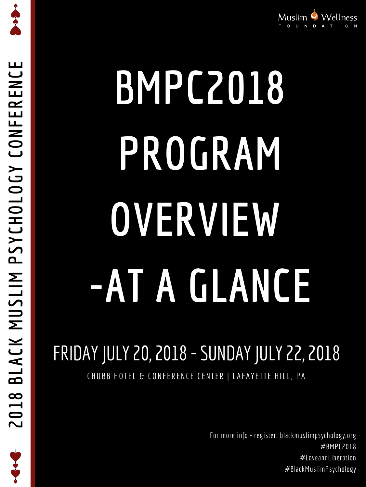$\boldsymbol{\mathcal{S}}$ **YCHOL OGYCONFERENCE**

**C.C.C.C.** 



# **BMPC2018 PROGRAM**

**OVERVIEW**

## **-AT A GLANCE**

### FRIDAYJULY 20, 2018 -SUNDAYJULY 22, 2018

#### CHUBB HOTEL & CONFERENCE CENTER | LAFAYETTE HILL, PA

For more info + register: blackmuslimpsychology.org #BMPC2018 #LoveandLiberation #BlackMuslimPsychology

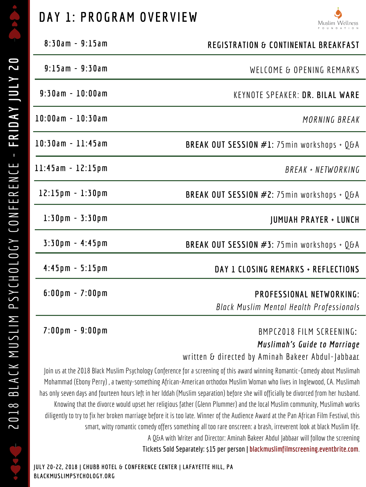

#### **DAY 1 : PROGRAM OVERVI EW**



**4 : 4 5 pm - 5 : 1 5 pm**

*Black Muslim Mental Health Pl Black Muslim Mental Health Professionals*

**6 : 0 0 pm - 7 : 0 0 pm**

| $8:30$ am - 9:15am                           | <b>REGISTRATION &amp; CONTINENTAL BREAKFAST</b>             |
|----------------------------------------------|-------------------------------------------------------------|
| $9:15am - 9:30am$                            | WELCOME & OPENING REMARKS                                   |
| $9:30$ am - $10:00$ am                       | KEYNOTE SPEAKER: DR. BILAL WARE                             |
| $10:00$ am - $10:30$ am                      | MORNING BREAK                                               |
| $10:30$ am - $11:45$ am                      | <b>BREAK OUT SESSION #1:</b> 75 $min$ workshops + Q&A       |
| $11:45am - 12:15pm$                          | BREAK + NETWORKING                                          |
| $12:15 \,\mathrm{p m} - 1:30 \,\mathrm{p m}$ | <b>BREAK OUT SESSION #2:</b> 75 min workshops + $Q\delta A$ |
| $1:30 \text{ pm} - 3:30 \text{ pm}$          | <b>JUMUAH PRAYER + LUNCH</b>                                |
| $3:30$ pm - 4:45pm                           | <b>BREAK OUT SESSION #3:</b> 75 min workshops + $Q\delta A$ |

#### **7 : 0 0 pm - 9 : 0 0 pm**

**PROFESSIONAL NETWORKING:**

#### BMPC2018 FILM SCREENING**:** *Muslimah's Guide to Marriage*

written  $\delta$  directed by Aminah Bakeer Abdul-Jabbaar

Join us at the 2018 Black Muslim Psychology Conference for a screening of this award winning Romantic-Comedy about Muslimah Mohammad (Ebony Perry) , a twenty-something African-American orthodox Muslim Woman who lives in Inglewood, CA. Muslimah has only seven days and fourteen hours left in her Iddah (Muslim separation) before she will officially be divorced from her husband. Knowing that the divorce would upset her religious father (Glenn Plummer) and the local Muslim community, Muslimah works diligently to try to fix her broken marriage before it is too late. Winner of the Audience Award at the Pan African Film Festival, this smart, witty romantic comedy offers something all too rare onscreen: a brash, irreverent look at black Muslim life. A Q&A with Writer and Director: Aminah Bakeer Abdul Jabbaar will follow the screening **Tickets Sold Separately: \$15 per person | blackmuslimfilmscreening.eventbrite.com**.

**JULY 20-22, 2018 | CHUBB HOTEL & CONFERENCE CENTER | LAFAYETTE HILL, PA BLACKMUSLIMPSYCHOLOGY.ORG**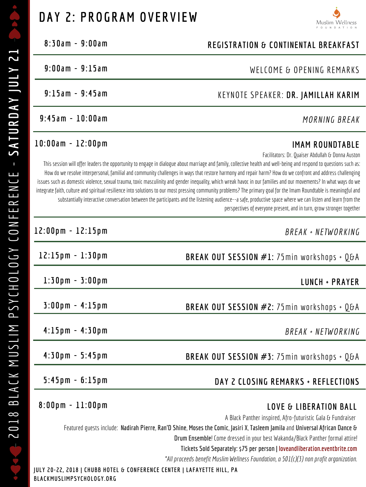#### **DAY 2 : PROGRAM OVERVI EW**



#### **1 0 : 0 0 am - 1 2 : 0 0 pm**

**1 2 : 0 0 pm - 1 2 : 1 5 pm**

| $8:30$ am - 9:00am | <b>REGISTRATION &amp; CONTINENTAL BREAKFAST</b> |
|--------------------|-------------------------------------------------|
| $9:00am - 9:15am$  | WELCOME & OPENING REMARKS                       |
| $9:15am - 9:45am$  | KEYNOTE SPEAKER: DR. JAMILLAH KARIM             |
| $9:45am - 10:00am$ | MORNING BREAK                                   |

#### **IMAM ROUNDTABLE**

*BREAK + NETWORKING*

| $12:15 \text{ pm} - 1:30 \text{ pm}$                                                                 | <b>BREAK OUT SESSION #1:</b> 75 min workshops + $Q\delta A$                                                                                                                                                                                                     |  |
|------------------------------------------------------------------------------------------------------|-----------------------------------------------------------------------------------------------------------------------------------------------------------------------------------------------------------------------------------------------------------------|--|
| $1:30 \text{ pm} - 3:00 \text{ pm}$                                                                  | LUNCH + PRAYER                                                                                                                                                                                                                                                  |  |
| $3:00 \, \text{pm} - 4:15 \, \text{pm}$                                                              | <b>BREAK OUT SESSION #2:</b> 75 min workshops + $Q\delta A$                                                                                                                                                                                                     |  |
| $4:15 \text{ pm} - 4:30 \text{ pm}$                                                                  | BREAK + NETWORKING                                                                                                                                                                                                                                              |  |
| $4:30 \text{ pm} - 5:45 \text{ pm}$                                                                  | BREAK OUT SESSION $#3:75$ min workshops + Q&A                                                                                                                                                                                                                   |  |
| $5:45 \text{ pm} - 6:15 \text{ pm}$                                                                  | DAY 2 CLOSING REMARKS + REFLECTIONS                                                                                                                                                                                                                             |  |
| $8:00 \,\mathrm{p m} - 11:00 \,\mathrm{p m}$                                                         | <b>LOVE &amp; LIBERATION BALL</b>                                                                                                                                                                                                                               |  |
|                                                                                                      | A Black Panther inspired, Afro-futuristic Gala & Fundraiser<br>Featured guests include: Nadirah Pierre, Ran'D Shine, Moses the Comic, Jasiri X, Tasleem Jamila and Universal African Dance &                                                                    |  |
|                                                                                                      | <b>Drum Ensemble!</b> Come dressed in your best Wakanda/Black Panther formal attire!<br>Tickets Sold Separately: \$75 per person   loveandliberation.eventbrite.com<br>*All proceeds benefit Muslim Wellness Foundation, a $501(c)(3)$ non profit organization. |  |
| JULY 20–22, 2018   CHUBB HOTEL & CONFERENCE CENTER   LAFAYETTE HILL, PA<br>BLACKMUSLIMPSYCHOLOGY.ORG |                                                                                                                                                                                                                                                                 |  |

Facilitators: Dr. Quaiser Abdullah & Donna Auston

This session will offer leaders the opportunity to engage in dialogue about marriage and family, collective health and well-being and respond to questions such as: How do we resolve interpersonal, familial and community challenges in ways that restore harmony and repair harm? How do we confront and address challenging issues such as domestic violence, sexual trauma, toxic masculinity and gender inequality, which wreak havoc in our families and our movements? In what ways do we integrate faith, culture and spiritual resilience into solutions to our most pressing community problems? The primary goal for the Imam Roundtable is meaningful and substantially interactive conversation between the participants and the listening audience--a safe, productive space where we can listen and learn from the perspectives of everyone present, and in turn, grow stronger together